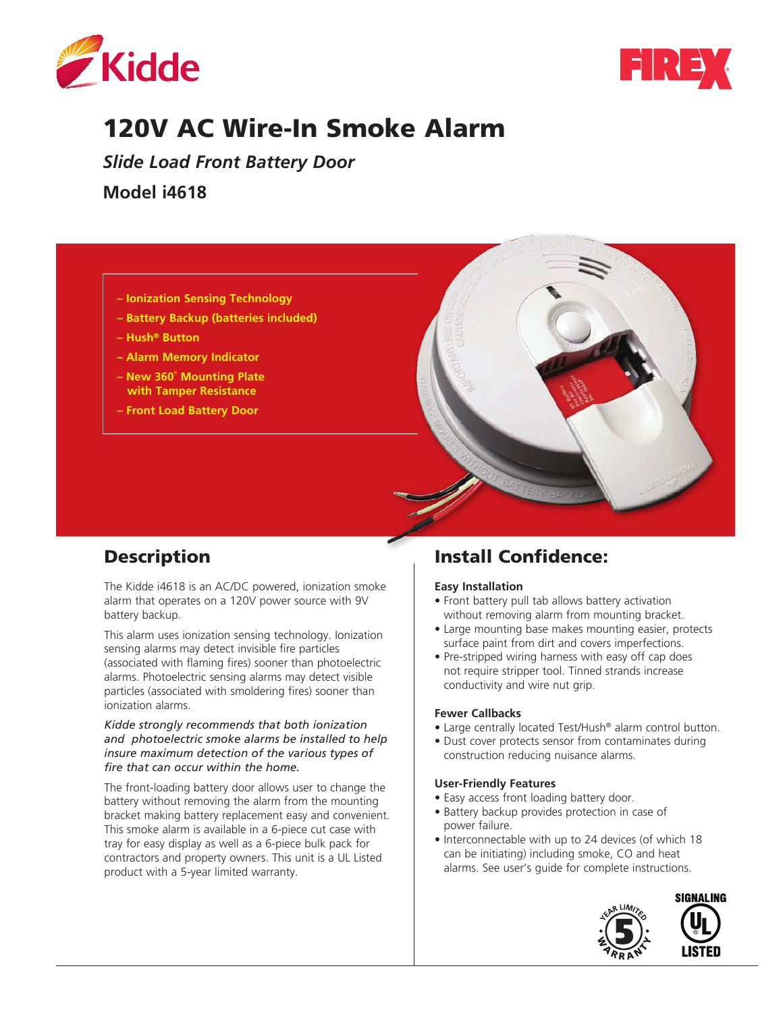



# 120V AC Wire-In Smoke Alarm

*Slide Load Front Battery Door*

**Model i4618** 



# Description

The Kidde i4618 is an AC/DC powered, ionization smoke alarm that operates on a 120V power source with 9V battery backup.

This alarm uses ionization sensing technology. Ionization sensing alarms may detect invisible fire particles (associated with flaming fires) sooner than photoelectric alarms. Photoelectric sensing alarms may detect visible particles (associated with smoldering fires) sooner than ionization alarms.

#### *Kidde strongly recommends that both ionization and photoelectric smoke alarms be installed to help insure maximum detection of the various types of fire that can occur within the home.*

The front-loading battery door allows user to change the battery without removing the alarm from the mounting bracket making battery replacement easy and convenient. This smoke alarm is available in a 6-piece cut case with tray for easy display as well as a 6-piece bulk pack for contractors and property owners. This unit is a UL Listed product with a 5-year limited warranty.

# Install Confidence:

#### **Easy Installation**

- Front battery pull tab allows battery activation without removing alarm from mounting bracket.
- Large mounting base makes mounting easier, protects surface paint from dirt and covers imperfections.
- Pre-stripped wiring harness with easy off cap does not require stripper tool. Tinned strands increase conductivity and wire nut grip.

#### **Fewer Callbacks**

- Large centrally located Test/Hush® alarm control button.
- Dust cover protects sensor from contaminates during construction reducing nuisance alarms.

#### **User-Friendly Features**

- Easy access front loading battery door.
- Battery backup provides protection in case of power failure.
- Interconnectable with up to 24 devices (of which 18 can be initiating) including smoke, CO and heat alarms. See user's guide for complete instructions.